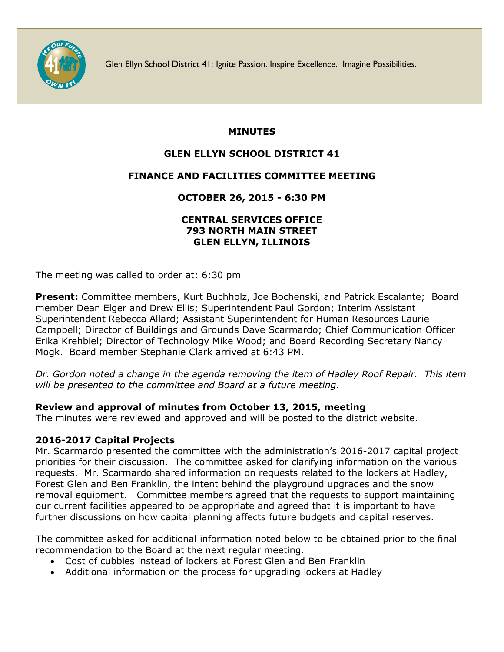

Glen Ellyn School District 41: Ignite Passion. Inspire Excellence. Imagine Possibilities.

### **MINUTES**

# **GLEN ELLYN SCHOOL DISTRICT 41**

## **FINANCE AND FACILITIES COMMITTEE MEETING**

**OCTOBER 26, 2015 - 6:30 PM**

#### **CENTRAL SERVICES OFFICE 793 NORTH MAIN STREET GLEN ELLYN, ILLINOIS**

The meeting was called to order at: 6:30 pm

**Present:** Committee members, Kurt Buchholz, Joe Bochenski, and Patrick Escalante; Board member Dean Elger and Drew Ellis; Superintendent Paul Gordon; Interim Assistant Superintendent Rebecca Allard; Assistant Superintendent for Human Resources Laurie Campbell; Director of Buildings and Grounds Dave Scarmardo; Chief Communication Officer Erika Krehbiel; Director of Technology Mike Wood; and Board Recording Secretary Nancy Mogk. Board member Stephanie Clark arrived at 6:43 PM.

*Dr. Gordon noted a change in the agenda removing the item of Hadley Roof Repair. This item will be presented to the committee and Board at a future meeting.* 

## **Review and approval of minutes from October 13, 2015, meeting**

The minutes were reviewed and approved and will be posted to the district website.

## **2016-2017 Capital Projects**

Mr. Scarmardo presented the committee with the administration's 2016-2017 capital project priorities for their discussion. The committee asked for clarifying information on the various requests. Mr. Scarmardo shared information on requests related to the lockers at Hadley, Forest Glen and Ben Franklin, the intent behind the playground upgrades and the snow removal equipment. Committee members agreed that the requests to support maintaining our current facilities appeared to be appropriate and agreed that it is important to have further discussions on how capital planning affects future budgets and capital reserves.

The committee asked for additional information noted below to be obtained prior to the final recommendation to the Board at the next regular meeting.

- Cost of cubbies instead of lockers at Forest Glen and Ben Franklin
- Additional information on the process for upgrading lockers at Hadley